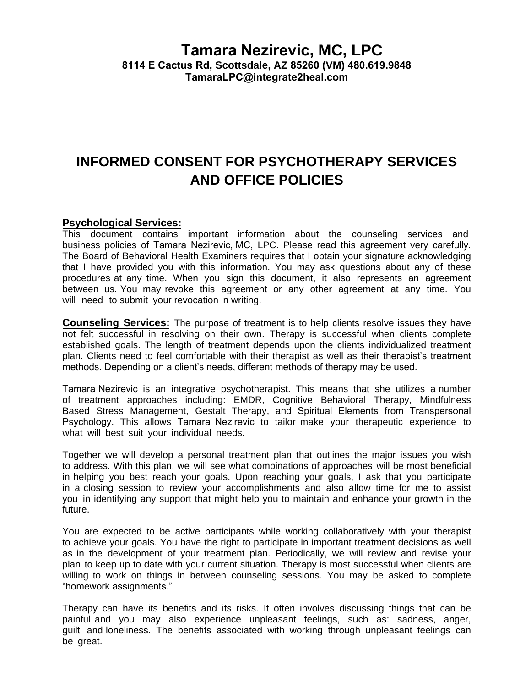# **Tamara Nezirevic, MC, LPC**

**8114 E Cactus Rd, Scottsdale, AZ 85260 (VM) 480.619.9848 TamaraLPC@integrate2heal.com**

## **INFORMED CONSENT FOR PSYCHOTHERAPY SERVICES AND OFFICE POLICIES**

#### **Psychological Services:**

This document contains important information about the counseling services and business policies of Tamara Nezirevic, MC, LPC. Please read this agreement very carefully. The Board of Behavioral Health Examiners requires that I obtain your signature acknowledging that I have provided you with this information. You may ask questions about any of these procedures at any time. When you sign this document, it also represents an agreement between us. You may revoke this agreement or any other agreement at any time. You will need to submit your revocation in writing.

**Counseling Services:** The purpose of treatment is to help clients resolve issues they have not felt successful in resolving on their own. Therapy is successful when clients complete established goals. The length of treatment depends upon the clients individualized treatment plan. Clients need to feel comfortable with their therapist as well as their therapist's treatment methods. Depending on a client's needs, different methods of therapy may be used.

Tamara Nezirevic is an integrative psychotherapist. This means that she utilizes a number of treatment approaches including: EMDR, Cognitive Behavioral Therapy, Mindfulness Based Stress Management, Gestalt Therapy, and Spiritual Elements from Transpersonal Psychology. This allows Tamara Nezirevic to tailor make your therapeutic experience to what will best suit your individual needs.

Together we will develop a personal treatment plan that outlines the major issues you wish to address. With this plan, we will see what combinations of approaches will be most beneficial in helping you best reach your goals. Upon reaching your goals, I ask that you participate in a closing session to review your accomplishments and also allow time for me to assist you in identifying any support that might help you to maintain and enhance your growth in the future.

You are expected to be active participants while working collaboratively with your therapist to achieve your goals. You have the right to participate in important treatment decisions as well as in the development of your treatment plan. Periodically, we will review and revise your plan to keep up to date with your current situation. Therapy is most successful when clients are willing to work on things in between counseling sessions. You may be asked to complete "homework assignments."

Therapy can have its benefits and its risks. It often involves discussing things that can be painful and you may also experience unpleasant feelings, such as: sadness, anger, guilt and loneliness. The benefits associated with working through unpleasant feelings can be great.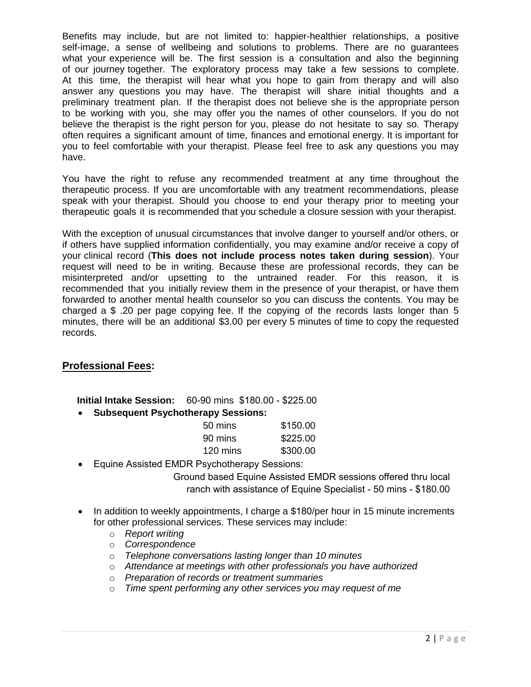Benefits may include, but are not limited to: happier-healthier relationships, a positive self-image, a sense of wellbeing and solutions to problems. There are no guarantees what your experience will be. The first session is a consultation and also the beginning of our journey together. The exploratory process may take a few sessions to complete. At this time, the therapist will hear what you hope to gain from therapy and will also answer any questions you may have. The therapist will share initial thoughts and a preliminary treatment plan. If the therapist does not believe she is the appropriate person to be working with you, she may offer you the names of other counselors. If you do not believe the therapist is the right person for you, please do not hesitate to say so. Therapy often requires a significant amount of time, finances and emotional energy. It is important for you to feel comfortable with your therapist. Please feel free to ask any questions you may have.

You have the right to refuse any recommended treatment at any time throughout the therapeutic process. If you are uncomfortable with any treatment recommendations, please speak with your therapist. Should you choose to end your therapy prior to meeting your therapeutic goals it is recommended that you schedule a closure session with your therapist.

With the exception of unusual circumstances that involve danger to yourself and/or others, or if others have supplied information confidentially, you may examine and/or receive a copy of your clinical record (**This does not include process notes taken during session**). Your request will need to be in writing. Because these are professional records, they can be misinterpreted and/or upsetting to the untrained reader. For this reason, it is recommended that you initially review them in the presence of your therapist, or have them forwarded to another mental health counselor so you can discuss the contents. You may be charged a \$ .20 per page copying fee. If the copying of the records lasts longer than 5 minutes, there will be an additional \$3.00 per every 5 minutes of time to copy the requested records.

### **Professional Fees:**

**Initial Intake Session:** 60-90 mins \$180.00 - \$225.00

**Subsequent Psychotherapy Sessions:**

| 50 mins  | \$150.00 |
|----------|----------|
| 90 mins  | \$225.00 |
| 120 mins | \$300.00 |

Equine Assisted EMDR Psychotherapy Sessions:

Ground based Equine Assisted EMDR sessions offered thru local ranch with assistance of Equine Specialist - 50 mins - \$180.00

- $\bullet$  In addition to weekly appointments, I charge a \$180/per hour in 15 minute increments for other professional services. These services may include:
	- o *Report writing*
	- o *Correspondence*
	- o *Telephone conversations lasting longer than 10 minutes*
	- o *Attendance at meetings with other professionals you have authorized*
	- o *Preparation of records or treatment summaries*
	- o *Time spent performing any other services you may request of me*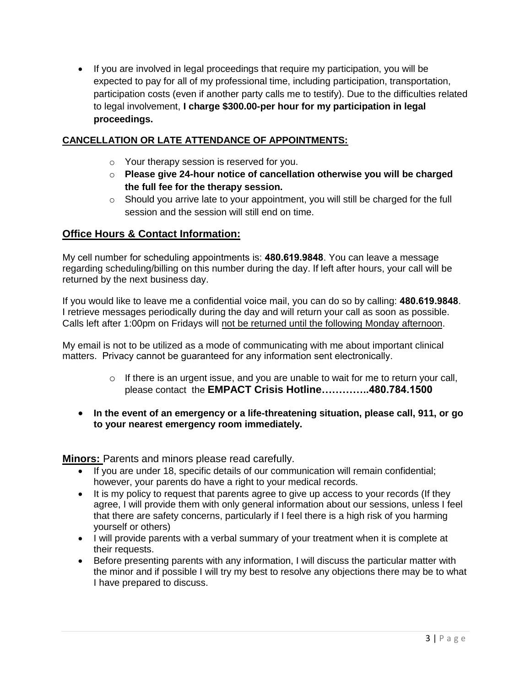• If you are involved in legal proceedings that require my participation, you will be expected to pay for all of my professional time, including participation, transportation, participation costs (even if another party calls me to testify). Due to the difficulties related to legal involvement, **I charge \$300.00-per hour for my participation in legal proceedings.**

### **CANCELLATION OR LATE ATTENDANCE OF APPOINTMENTS:**

- o Your therapy session is reserved for you.
- o **Please give 24-hour notice of cancellation otherwise you will be charged the full fee for the therapy session.**
- o Should you arrive late to your appointment, you will still be charged for the full session and the session will still end on time.

#### **Office Hours & Contact Information:**

My cell number for scheduling appointments is: **480.619.9848**. You can leave a message regarding scheduling/billing on this number during the day. If left after hours, your call will be returned by the next business day.

If you would like to leave me a confidential voice mail, you can do so by calling: **480.619.9848**. I retrieve messages periodically during the day and will return your call as soon as possible. Calls left after 1:00pm on Fridays will not be returned until the following Monday afternoon.

My email is not to be utilized as a mode of communicating with me about important clinical matters. Privacy cannot be guaranteed for any information sent electronically.

- o If there is an urgent issue, and you are unable to wait for me to return your call, please contact the **EMPACT Crisis Hotline…………..480.784.1500**
- **In the event of an emergency or a life-threatening situation, please call, 911, or go to your nearest emergency room immediately.**

**Minors:** Parents and minors please read carefully.

- If you are under 18, specific details of our communication will remain confidential; however, your parents do have a right to your medical records.
- It is my policy to request that parents agree to give up access to your records (If they agree, I will provide them with only general information about our sessions, unless I feel that there are safety concerns, particularly if I feel there is a high risk of you harming yourself or others)
- I will provide parents with a verbal summary of your treatment when it is complete at their requests.
- Before presenting parents with any information, I will discuss the particular matter with the minor and if possible I will try my best to resolve any objections there may be to what I have prepared to discuss.